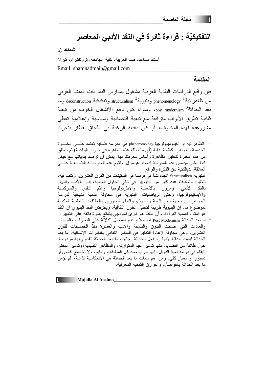# التفكيكيّة : قراءة ثائرة في النقد الأدبي المعاصر

شمناد ن.

أستاذ مساعد، قسم العربية، كلية الجامعة، تر وننتبر ام، كير لا Email: shamnadmail@gmail.com

### المقدمة

فإن وإقع الدراسات النقدية العربية مشغول بمدارس النقد ذات المنشأ الغربي من ظاهر اتية<sup>1</sup> phenomenology وبنيوية<sup>2</sup> structuralism وتفكيكية deconstruction وما بعد الحداثة<sup>3</sup> post modernism. وسواء كان دافع الانشغال الخوف من نبعية ثقافية تطرق الأبواب مترافقة مع تبعية اقتصادية وسياسية وإعلامية تعطى مشروعية لهذه المخاوف، أو كان دافعه الرغبة في اللحاق بقطار يتحرك

الظاهرانية أو الفينومينولوجيا phenomenology هي مدرسة فلسفية تعتمد علـــي الخبـــرة الـحدسية للظواهر كنقطة بداية (أي ما تمثله هذه الظاهرة في خبرتنا الواعية) ثم تنطلق من هذه الخبرة لتحليل الظاهرة وأساس معرفتنا بها. يمكن أن نرصد بداياتها مع هيغل كما يعتبر مؤسس هذه المدرسة إدموند هوسرل. وتقوم هذه المدرســـة الفلســـفية علــــي العلاقة الديالكتية بين الفكرة والواقع.

البنيوية Structuralism اتجاه نشأ في فرنسا في الستينات من القرن العشرين، وكتب فيه، تنظيرًا ونطبيقًا، عدد كبير من البنيويين في شتى الحقول العلمية، بدءًا بالأدب وانتهاء بالنقد الأدبي، ومرورا بالألسنية والأنثربولوجيا وعلم النفس والماركسية والأبستيمولوجيا، وحتى الرياضيات. البنيوية هي محاولة علمية منهجية لدراسة الظواهر من وجهة نظر البنية والنموذج والبناء الصورى والعلاقات الباطنية المكونة لموضوع ما. إن البنيوية طريقة لتحليل الفنون الثقافية. ويفترض النقد البنيوي أن النقد هو امتداد لعملية القراءة، وأن الناقد هو قارئ نموذجي يتمتع بقدرة فائقة على التعبير .

ما بعد الحداثة Post Modernism اصطلاح عام يستعمل للدلالة على النغيرات والنتميات والعادات التبي أصابت الفنون والفلسفة والأدب والعمارة منذ الخمسينات للقرن العشرين. وهي محاولة لإعادة التفكير في المنظر الثقافي بالنظرات الإنسانية. ما بعد الحداثة ليست حداثة لأنها ر د فعل للحداثة. جاءت ما بعد الحداثة لتقدم ر ؤية مز دوجة حول طائفة من القضايا: منها ندمير القيم المتوارثة، والمظاهر التقليدية، وتدمير المعنى للبقاء في دوامة لعبة الدوال. إنها حرب ضد كل المطلقات والقيم، ولا تخضع لقانون أو دستور أو معيار كلي. ومن أهم سمات ما بعد الحداثة هي الانعكاسية الذاتية، لم تؤمن ما بعد الحداثة بالفو اصل، و الفو ار ق الثقافية المعر فية.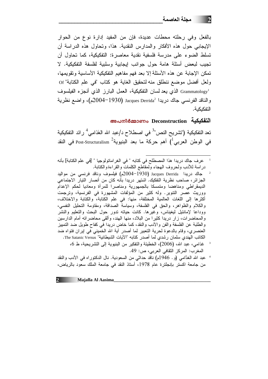بالفعل وفي رحلته محطات عديدة، فإن من المفيد إدارة نوع من الحوار الإيجابي حول هذه الأفكار والمدارس النقدية. هذا، وتحاول هذه الدراسة أن تسلط الضوء على مدرسة فلسفية نقدية معاصرة: التفكيكية، كما تحاول أن تجيب لبعض أسئلة هامة حول جوانب إيجابية وسلبية لفلسفة التفكيكية. لا تمكن الإجابة عن هذه الأسئلة إلا بعد فهم مفاهيم التفكيكية الأساسية وتقويمها، ولعل أفضل موضع ننطلق منه لتحقيق الغاية هو كتاب "في علم الكتابة" Of 'Grammatology الذي يعد لسان التفكيكية، العمل البارز الذي أنجزه الفيلسوف و الناقد الفرنسي جاك دريدا 'Jacques Derrida (1930–2004م)، و اضع نظرية التفكيكية.

അപനിർമ്മാണം Deconstruction التفكيكية

تعد التفكيكية ("تشريح النص"<sup>3</sup> في اصطلاح د/عبد الله الغَذامِي<sup>4</sup> ر ائد التفكيكية في الوطن العربي $\left.\!\! \right.\!\!$  أهم حركة ما بعد البنيوية $\!\! \Gamma$  Post-Structuralism في النقد

- عرف جاك دريدا هذا المصطلح في كتابه " في الغر اماتولوجيا " [في علم الكتابة] بأنه دراسة للأدب ولحروف الهجاء ولمقاطع الكلمات والقراءةوالكتابة.
- جاك دريدا Jacques Derrida (1930-2004م) فيلسوف وناقد فرنسي من مواليد الجزائر ، صاحب نظرية التفكيك. اشتهر دريدا بأنه كان من أنصار التيار الاجتماعي الديمقراطى ومناهضا ومتمسكا بالجمهورية ومناصرا للمرأة ومعاديا لحكم الإعدام ووريث عصر التنوير. وله كثير من المؤلفات المشهورة في الفرنسية، وترجمت أكثرها إلى اللغات العالمية المختلفة، منها: في علم الكتابة، والكتابة والاختلاف، والكلام والظواهر، والحق في الفلسفة، وسياسة الصداقة، ومقاومة التحليل النفسي، ووداعا لإمانئيل ليغيناس، وغيرها. كانت حياته ندور حول البحث والنعليم والنشَّر والمحاضرات، زار دريدا كثيرًا من البلاد، منها المهند، وألقى محاضراته أمام الدارسين والطلبة عن الفلسفة والفن والأدب والنقد، كما خاض دريدا في كفاح طويل ضد التمييز العنصري، وقام بالدعوة لحرية النعبير لما أصدر أية الله الخميني في إيران فتواه ضد الكاتب الهندي سلمان رشدي لما أصدر كتابه "الآيات الشيطانية" The Satanic Versus.
	- غذامي، عبد الله، (2006)، الخطيئة والتفكير من البنيوية إلى التشريحية، ط 6، المغرب: المركز النقافي العربي، ص: 49.
- <sup>4</sup> عبد الله الغدّامي (و . 1946م) ناقد حداثي من السعودية. نال الدكتوراه في الأدب والنقد من جامعة اكستر بإنجلترة عام 1978، أستاذ النقد في جامعة الملك سعود بالرياض،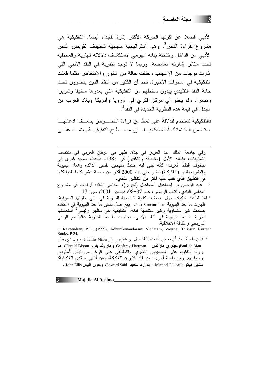الأدبي فضلا عن كونها الحركة الأكثر اثارة للجدل أيضا. التفكيكية هي مشروع لقراءة النص<sup>3</sup>. وهي استراتيجية منهجية تستهدف تقويض النص الأدبي من الداخل وخلخلة بنائه الهرمي لاستكشاف دلالاته الهاربة والمختفية تحت ستائر اشارته الغامضة. وربما لا توجد نظرية في النقد الأدبي التي أثارت موجات من الإعجاب وخلقت حالة من النفور والامتعاض مثلما فعلت التفكيكية في السنوات الأخيرة. نجد أن الكثير من النقاد الذين ينضوون تحت خانة النقد التقليدي بيدون سخطهم من التفكيكية التي يعدوها سخيفا وشريرا ومدمرا. ولم يخلو أي مركز فكري في أوروبا وأمريكا وبلاد العرب من الجدل في قيمة هذه النظر ية الجديدة في النقد<sup>4</sup>.

فالتفكيكية تستخدم للدلالة على نمط من قر اءة النصب ص بنسبف ادعائهـــا المتضمن أنها تمثلك أساسا كافيــــا. إن مصـــــطلح التفكيكيــــة يعتمـــد علـــــى

وفي جامعة الملك عبد العزيز في جدّة. ظهر في الوطن العربي في منتصف الثمانينات، بكتابه الأول (الخطيئة والتكفير) في 1985، فأحدث ضجة كبرى في صفوف النقاد العرب: لأنه نبني فيه أحدث منهجين نقديين آنذاك، وهما: البنيوية والتشريحية أو (التفكيكية)، نشر حتى عام 2000 أكثر من خمسة عشر كتابا نقديا كلها في التطبيق الذي غلب عليه أكثر من التنظير النقدي.

- عبد الرحمن بن إسماعيل السماعيل (تحرير)، الغذامي الناقد: قراءات في مشروع الغذامي النقدي، كتاب الرياض، عدد 97-98، ديسمبر 2001، ص: 17
- <sup>2</sup> لما شاعت شكوك حول ضعف الكفاية المنهجية للبنيوية في شتى حقولها المعرفية، ظهرت ما بعد البنيوية Post Structuralism. يقع أصل تفكير ما بعد البنيوية في اعتقاده بصفات غير متساوية وغير متناسبة للغة. التفكيكية هي مظهر رئيسي<sup>2</sup> استعملتها نظرية ما بعد البنيوية في النقد الأدبي. تجاوبت ما بعد البنيوية غالبا مع الوعي الناريخي والثقافة الأخلاقية.

3. Raveendran, P.P., (1999), Adhunikanandaram: Vicharam, Vayana, Thrissur: Current Books, P 24. <sup>4</sup> فَمِن ناحية نجد أن بعض أعمدة النقد مثل ج.هيليس ميلر J. Hillis Miller وبول دي مان Paul de Manو جيفري هارتمن Geoffrey Hartman و هارولد بلوم Harold Bloom، هم رواد التفكيك على الصعيدين النظرى والتطبيقي على الرغم من نباين أسلوبهم وحماسهم، ومن ناحية أخرى نجد نقادا كثيرين للتفكيكة، ومن أشهر منتقدى التفكيكية: مشيل فيكو Michael Foucault ، إدوارد سعيد Edward Said، وجون إليس John Ellis .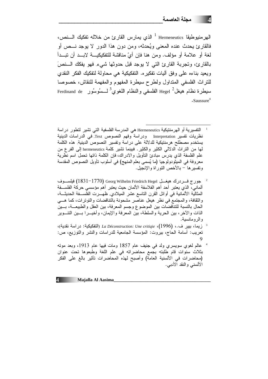فالقارئ يحدث عنده المعنى ويُحدثه، ومن دون هذا الدور لا يوجد نـــص أو لغة أو علامة أو مؤلف. ومن هنا فإن أيّ مناقشة للتفكيكيـــة لابـــد أن نبـــدأ بالقارئ، وتجربة القارئ التي لا يوجد قبل حدوثها شيء فهو يفكك السنصَ ويعيد بناءه على وفق أليات تفكيره. التفكيكية هي محاولة لتفكيك الفكر النقدي للتراث الفلسفي المتداول ولطرح سيطرة المفهوم والمفهمة للنقاش، خصوصا  $.S$ aussure<sup>4</sup>

جورج فسردرك هيغسل Georg Wilhelm Friedrich Hegel (1831–1770) فيلسسوف ألماني، الذي يعتبر أحد أهم الفلاسفة الألمان حيث يعتبر أهم مؤسسي حركة الفلســـفة المثالية الألمانية في أوائل القرن الناسع عشر الميلادي. ظهــــرت الفلســـفة الـحديثـــة، والثقافة، والمجتمع في نظر -هيغل عناصر -مشحونة بالتناقضات والتوتر ات، كما هـــي الحال بالنسبة للتناقضات بين الموضوع وجسم المعرفة، بين العقل والطبيعــة، بـــين الذات والأخر ، بين الحرية والسلطة، بين المعرفة والإيمان، وأخيـــرا بـــين التتـــوير و الر و مانسية.

- زيما، بيير ف.، La Déconstruction: Une critiqie ،(1996) (التفكيكية: دراسة نقدية)، تعريب: أسامة الحاج، بيروت: المؤسسة الجامعية للدراسات والنشر والتوزيع، ص:
- عالم لغوى سويسري ولد في جنيف عام 1857 ومات فيها عام 1913، وبعد مونه بثلاث سنوات قام طلبته بجمع محاضراته في علم اللغة وطبعوها تحت عنوان (محاضرات في الألسنية العامة) وأصبح لمهذه المحاضرات تأثير بالغ على الفكر الألسني والنقد الأدبي.

Majalla Al Aasima

 $\boldsymbol{\Lambda}$  . The set of  $\boldsymbol{\Lambda}$ 

التفسيرية أو الهرمنتيكية Hermeneutics هي المدرسة الفلسفية التي تشير لتطور دراسة نظريات نفسير Interpretation ودراسة وفهم النصوص Text. في الدراسات الدينية يستخدم مصطلح هرمنتيكية للدلالة على دراسة وتفسير النصوص الدينية. هذه الكلمة لمها من النراث الدلالي الكثير والكثير. فبينما نشير كلمة hermeneutics إلى الفرع من علم الفلسفة الذي يدرس مبادئ النأويل والادراك، فإن الكلمة ذاتها تحمل اسم نظرية معروفة في الميثودولوجيا (ما يُسمى بعلم المنهج) في أسلوب تأويل النصوص المقدسة وتفسير ها – بالأخص التور اة والإنجيل.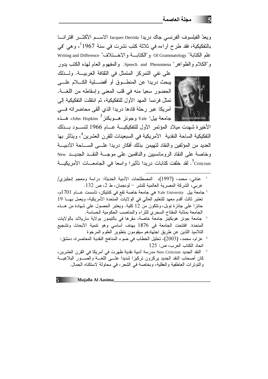ويعدّ الفيلسوف الفرنسي جاك دريدا Jacques Derrida الاســم الأكثـــر افتر انــــا بالتفكيكية، فقد طرح آراءه في ثلاثة كتب نشرت في سنة 1967<sup>1</sup>، وهي "في علم الكتابة" Of Grammatology و"الكتابة و الاخـــنلاف" Writing and Difference و "الكلام والظواهر " Speech and Phenomena. والمفهوم العام لمهذه الكتب بدور



على نفي التمركز المتمثل في الثقافة الغربيـــة. ولـــذلك يبحث دريدا عن المنطــوق أو أفضـــلية الكـــلام علـــي الحضور سعيا منه في قلب المعنى وإسقاطه من اللغسة. تمثِّل فرنسا المهد الأول للتفكيكية، ثم انتقلت التفكيكية إلى أمريكا عبر رحلة قادها دريدا الذي ألقى محاضراته فسي جامعة بيل<sup>2</sup> Yale وجونز هـــوبكنز<sup>3</sup> John Hopkins، هـــذه

الأخبر ة شهدت مبلاد المؤتمر الأول للتفكيكيسة عسام 1966 لتســود بـــذلك التفكيكية الساحة النقدية الأمريكية في السبعينات للقرن العشرين<sup>4</sup>، ويتأثر بها العديد من المؤلفين والنقاد لتهيمن بذلك أفكار دريدا علـــى الســـاحة الأدبيـــة وخاصة على النقاد الرومانسيين والناقمين على موجة النقــد الجديــد New .<br>Criticism . لقد خلفت كتابات در بدا تأثير ا و اسعا في الجامعـــات الأمر بكبــــة

- عناني، محمد، (1997)، المصطلحات الأدبية الحديثة: دراسة ومعجم إنجليزي/ عربي، الشركة المصرية العالمية للنشر - لونجمان، ط 2، ص 132.
- جامعة بيل Yale University هي جامعة خاصة تقع في كنتيكن، تأسست عــام 1701م، تعتبر ثالث أقدم معهد للتعليم العالي في الولايات المتحدة الأمريكية، ويعمل بهـــا 19 حائزًا على جائزة نوبل، ونتكون من 12 كلية. ويعتبر الحصول على شهادة من هــذه الجامعة بمثابة المفتاح السحري للثراء والمناصب الحكومية الحساسة.
- جامعة جونز هوبكينز جامعة خاصة، مقرها في بالتيمور بولاية ماريلاند بالولايات المتحدة. افتتحت الجامعة في 1876 بهدف أساسي وهو تتمية الأبحاث وتشجيع النلاميذ اللذين عن طريق اجتهادهم سيقومون بتطوير العلوم المرجوة
- اتحاد الكتاب العرب، ص: 125
- النقد الجديد New Criticism مدرسة أدبية نقدية ظهرت في أمريكا في القرن العشرين، كان أصحاب النقد الجديد بركزون نركيزا شديدا علـــى اللغـــة والصـــور البلاغيـــة والنَّوْتِرات العاطفية والعقلية، وبخاصة في الشعر ، في محاولة لاستكناه الجمال.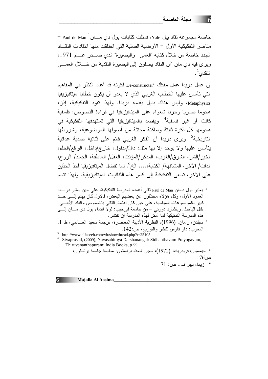– Paul de Man أخاصة مجموعة نقاد بيل Yale، فمثلت كتابات بول دي مـــان مناصر التفكيكية الأول – الأر ضية الصلبة التي انطلقت منها انتقادات النقساد الجدد خاصة من خلال كتابه "العمى والبصيرة" الذي صـــدر عـــام 1971، ويرى فيه دى مان "أن النقاد بصلون إلى البصيرة النقدية من خــــلال العمــــي النقدى $^2$ .

إن عمل دريدا عمل مفكِك De-constructer<sup>3</sup> لكونه قد أعاد النظر في المفاهيم التي تأسس عليها الخطاب الغربي الذي لا يعدو أن يكون خطابا ميتافيزيقيا Metaphysics، وليس هناك بديل يقدمه دريدا. ولهذا تقود التفكيكية، إذن، هجوما ضبار با وجربا شعواء على الميتافيزيقيا في قراءة النصوص: فلسفية كانت أو غير فلسفية<sup>4</sup>. ويقصد بالميتافيزيقيا الت*ى* تستهدفها التّفكيكية في هجومها كل فكرة ثابتة وساكنة مجتثة من أصولها الموضوعية، وشروطها التاريخية<sup>5</sup>. ويرى دريدا أن الفكر الغربي قائم على ثنائية ضدية عدائية يتأسس عليها ولا يوجد إلا بها مثل: دالٌ/مدلول، خار ج/داخل، الواقع/الحلم، الخير/الشرِّ، الشرق/الغرب، المذكر/المؤنث، العقل/ العاطفة، الجسد/ الروح، الذات/ الآخر ، المشافهة/ الكتابة،.... الخ<sup>6</sup>. لما تفضل المبتافيز بقبا أحدَ الحدّبن على الآخر ، تسعى التفكيكية الى كسر هذه الثنائيات المبنافيز بقية. ولهذا تتسم

ل يعتبر بول ديمان Paul de Man ثاني أعمدة المدرسة التفكيكية، على حين يعتبر دريـــدا العمود الأول، وكل هؤلاء مختلفون عن بعضهم البعض، فالأول كان يهتم إلـــي حـــد كبير بالموضوعات السياسية، على حين كان اهتمام الثاني بالنصوص والنقد الأدبـــي قال الباحث: ريتشارد دورتـي – من جامعة فيرجينيا: لولًا انتماء بول دي مــــان الِــــَي هذه المدر سة التفكيكية لما أمكن لهذه المدر سة أن تتتشر .

سيلدن، رامان، (1996)، النظرية الأدبية المعاصرة، ترجمة سعيد الغـانمي، ط 1، المغرب: دار فارس للنشر والتوزيع، ص:142.

<sup>3</sup> http://www.alfaseeh.com/vb/showthread.php?t=25105

<sup>4</sup> Sivaprasad, (2009), Navasahithya Darshanangal: Sidhanthayum Prayogayum, Thiruvananthapuram: India Books, p 55

5 جيمسون، فريدريك، (1972)، سجن اللغة، برنستون: مطبعة جامعة برنستون،  $176$   $\sim$ 71 : زيما، بيير ف.، ص: 71

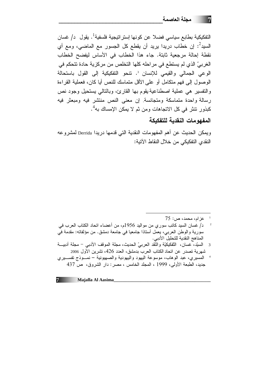التفكيكية بطابع سياسي فضلا عن كونها إستر اتيجية فلسفية<sup>1</sup>. يقول د/ غسان السيد<sup>2</sup>: إن خطاب دريدا يريد أن يقطع كل الجسور مع الماضي، ومع أي نقطة إحالة مرجعية ثابتة. جاء هذا الخطاب في الأساس ليفضح الخطاب الغربيِّ الذي لم يستطع في مراحله كلها التخلص من مركزية حادة تتحكم في الوعي الجمالي والقيمي للإنسان <sup>3</sup>. تتحو التفكيكية إلى القول باستحالة الوصول إلى فهم متكامل أو على الأقل متماسك للنص أيا كان، فعملية القراءة والتفسير هي عملية اصطناعية يقوم بها القارئ، وبالنالي يستحيل وجود نص رسالة وإحدة متماسكة ومتجانسة. إن معنى النص منتشر فيه ومبعثر فيه كبذور تتثر في كل الاتجاهات و من ثم لا يمكن الإمساك به<sup>4</sup>.

المفهومات النقدية للتفكيكة

ويمكن الحديث عن أهم المفهومات النقدية التي قدمها دريدا Derrida لمشروعه النقدي التفكيكي من خلال النقاط الآتية:

- السيّد، عسان، التّفكيكيّة والنّقد العربيّ الحديث، مجلة الموقف الأدبي مجلة أدبيـــة  $\overline{\mathbf{3}}$ شهرية تصدر عن اتحاد الكتاب العرب بدمشق، العدد 426، تشرين الأول 2006
- المسيري، عبد الوهاب، موسوعة اليهود واليهودية والصمهيونية نمـــوذج تفســـيري  $\overline{\phantom{a}}$ جديد، الطبعة الأولى، 1999 ، المجلد الخامس ، مصر : دار الشروق، ص 437

 $75:$ عز ام، محمد، ص:

د/ غسان السيد كاتب سور ي من مواليد 1956م، من أعضاء اتحاد الكتاب العرب في سورية والوطن العربي، يعمل أستاذا جامعيا في جامعة دمشق. من مؤلفاته: مقدمة في المناهج النقدية للتحليل الأدبي.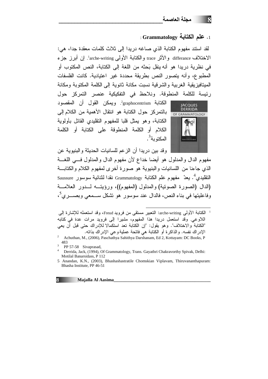# : **Grammatology** .<sup>1</sup>

لقد استند مفهوم الكتابة الذي صـاغه دريدا إلـى ثلاث كلمات معقدة جدا، هي: الاختلاف differance والأثر trace والكتابة الأولىي larche-writing! إن أبرز جزء في نظرية دريدا هو أنه ينقل بَحثه من اللغة إلى الكتابة، النص المكتوب أو المطبوع، وأنه يتصور النص بطريقة محددة غير اعتيادية. كانت الفلسفات الميتافيزيقية الغربية والشرقية نسبت مكانة ثانوية إلى الكلمة المكتوبة ومكانة رئيسة للكلمة المنطوقة. ونلاحظ في التفكيكية عنصر التمركز حول



الكتابة graphocentrism ويمكن القول أن المقصود بالتمركز حول الكتابة هو انتقال الأهمية من الكلام إلى الكتابة، وهو يمثل قلبا للمفهوم التقليدي القائل بأولوية الكلام أو الكلمة المنطوقة على الكتابة أو الكلمة المكتوبة<sup>3</sup>.

وقد بين دريدا أن الزعم للسانيات الحديثة والبنيوية عن مفهوم الدال والمدلول هو أيضا خداع لأن مفهوم الدال والمدلول فـــي اللغـــة الذي جاءنا من اللسانيات والبنيوية هو صورة أخرى لمفهوم الكلام والكتابـــة النقليديِ <sup>4</sup>. يعدّ مفهوم علم الكتابة Grammatology نقدا لثنائية سوسور Saussure (الدال (الصورة الصونية) والمدلول (المفهوم))، ورؤيتــه لـــدور العلامـــة  $^5$ وفاعليتها في بناء النص، فالدال عند سوسور هو نشكل ســـمعي وبصــــري $^5$ ،

لكتابة الأولىي arche-writing: النعبير مستقى من فرويد Freud، وقد استعمله للإشارة إلى اللاوعي. وقد استعمل دريدا هذا المفهوم، مشيرا إلى فرويد مرات عدة في كتابه "الكتابة والاختلاف". وهو يقول: "إن الكتابة تعد استكمالا للإدراك حتى قبل أن يعي الإدر اك نفسه. والذاكرة أو الكتابة هي فاتحة عملية وعي الإدراك بذاته.

 $\overline{a}$ 

2 Achuthan, M., (2006), Paschathya Sahithya Darshanam, Ed 2, Kottayam: DC Books, P 483

<sup>5</sup> Anandan, K.N., (2003), Bhashashastratile Chomskian Viplavam, Thiruvananthapuram: Bhasha Institute, PP 46-51



**8 Majalla Al Aasima\_\_\_\_\_\_\_\_\_\_\_\_\_\_\_\_\_\_\_\_\_\_\_\_\_\_\_\_\_\_\_\_\_\_\_\_\_\_\_\_\_\_\_**

<sup>3</sup> PP 57-58 Sivaprasad,

<sup>4</sup> Derrida, Jack, (1994), Of Grammatology, Trans. Gayathri Chakravorthy Spivak, Delhi: Motilal Banarsidass, P 112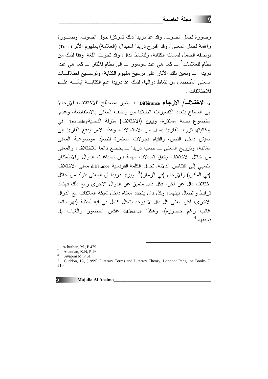وصور ة لحمل الصوت، وقد عدّ دريدا ذلك نمر كز ا حول الصوت، وصـــور ة واهمة لحمل المعنى! وقد اقترح دريدا استبدال (العلامة)بمفهوم الأثر (Trace) بوصفه الحامل لسمات الكتابة، ولنشاط الدال، وقد تحولت اللغة وفقا لذلك من نظام للعلامات $^2$  ـــ کما هي عند سوسور ـــ إلى نظام للأثار ـــ کما هي عند دريدا \_ وتعين تلك الأثار على ترسيخ مفهوم الكتابة، وتوســـيع اختلافـــات المعنى المُتحصل من نشاط دو الها، لذلك عدّ در بدا علم الكتابة "بأنّـــه علـــم للاختلافات".

2. الاختلاف/ الإرجاع Différance : يشير مصطلح "الاختلاف/ الإرجاء" إلى السماح بتعدد النفسيرات انطلاقا من وصف المعنى بالاستفاضة، وعدم الخضوع لحالة مستقرة، ويبين (الاختلاف) منزلة النصبةTextuality في إمكانيتها تزويد القارئ بسيل من الاحتمالات، وهذا الأمر يدفع القارئ إلى العيش داخل النص، والقيام بجولات مستمرة لتصبّد موضوعية المعنى الغائبة، وترويج المعنى \_ حسب دريدا \_ يخضع دائما للاختلاف، والمعنى من خلال الاختلاف يخلق تعادلات مهمة بين صياغات الدوال والاطمئنان النسبي إلى اقتناص الدلالة. تحمل الكلمة الفر نسبة différance معنى الاختلاف (في المكان) والإرجاء (في الزمان)<sup>3</sup>. ويرى دريدا أن المعنى يتولد من خلال اختلاف دال عن أخر، فكل دال متميز عن الدوال الأخرى ومع ذلك فهناك ترابط واتصال بينهما، وكل دال يتحدد معناه داخل شبكة العلاقات مع الدوال الأخر ي، لكن معنى كل دال لا يوجد بشكل كامل في أية لحظة (فهو دائما غائب رغم حضوره)، وهكذا differance عكس الحضور والغياب بل ىسىقىما<sup>4</sup>.

<sup>1</sup> Achuthan, M., P 479

Cuddon, JA, (1999), Literary Terms and Literary Theory, London: Penguine Books, P 210



Anandan, K.N, P 46

Sivaprasad, P 61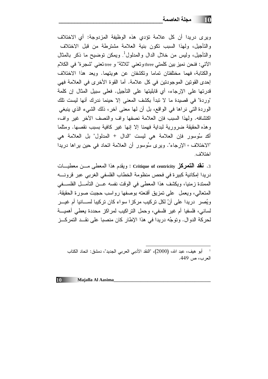وبر ي دريدا أن كل علامة تؤدي هذه الوظيفة المزدوجة: أي الاختلاف والتأجيل، ولهذا السبب نكون بنية العلامة مشترطة من قبل الاختلاف والتأجيل، وليس من خلال الدال والمدلول<sup>1</sup>. ويمكن توضيح ما ذكر بالمثال الآتي: فنحن نميز بين كلمتي three وتعني "ثلاثة" و tree تعني "شجر ة" في الكلام والكتابة، فهما مختلفتان تماما وتكشفان عن هويتهما. ويعد هذا الاختلاف إحدى القونين الموجودتين في كل علامة. أما القوة الأخرى في العلامة فهي قدر تها على الإر جاء، أي قابليتها على التأجيل. فعلى سبيل المثال إن كلمة "وردة" في قصيدة ما لا تبدأ بكشف المعنى إلا حينما ندرك أنها ليست تلك الوردة التي نراها في الواقع، بل أن لها معنى أخرٍ، ذلك الشيء الذي ينبغي اكتشافه. ولهذا السبب فإن العلامة نصفها واف والنصف الأخر غير واف، وهذه الحقيقة ضرورية لبداية فهمنا إلا إنها غير كافية بسبب نقصها. ومثلما أكد سُوسور فإن العلامة هي ليست "الدال + المدلول" بل العلامة هي "الاختلاف + الإرجاء". ويرى سُوسور أن العلامة اتحاد في حين يراها دريدا اختلاف

3. فقد التمركز Critique of centricity : ويقدم هذا المعطى مــن معطيـــات دريدا إمكانية كبيرة في فحص منظومة الخطاب الفلسفي الغربي عبر قرونسه الممتدة زمنيا، ويكشف هذا المعطى في الوقت نفسه عــن التأمــل الفلســفي المتعالى، ويعمل على تمزيق أقنعته بوصفها رواسب حجبت صورة الحقيقة. ويُصر در بدا علي أنّ لكل تر كبِب مر كز ١ سو اء كان تر كبِبا لســـانيا أم غيـــر لساني، فلسفيا أم غير فلسفي، وحمل النراكيب لمراكز محددة يعطي أهميـــة لحركة الدوال. وتوجُه دريدا في هذا الإطار كان منصبا على نقــد النمركــز

أبو هيف، عبد الله، (2000)، "النقد الأدبي العربي الجديد"، دمشق: اتحاد الكتاب العرب، ص 449.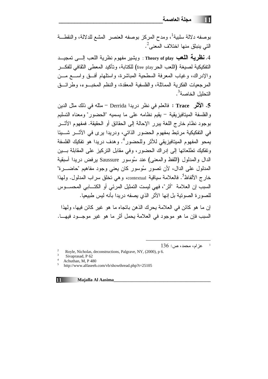11 ا-\_\_\_\_\_\_\_\_\_\_\_\_\_\_\_\_\_\_\_\_\_\_\_\_\_\_\_\_\_\_\_\_\_

بوصفه دلالة سلبية<sup>1</sup>، ومدح المركز بوصفه العنصر المشع للدلالة، والنقطــة التي ينبثق منها اختلاف المعنى $^2$ .

4. **نظرية اللعب Th**eory of play : ويشير مفهوم نظرية اللعب إلـــي تمجيـــد التفكيكية لصيغة (اللعب الحر free play) للكتابة، وتأكيد المعطى الثقافي للفكـــر والإدراك، وغياب المعرفة السطحية المباشرة، واستلهام أفــق واســـع مـــن المرجعيات الفكرية المماثلة، والفلسفية المعقدة، والنظم المخبـــوء، وطرائـــق التحليل الخاصة<sup>3</sup>.

5. **الأثر Trace :** فالعلم في نظر دريدا Derrida <sup>—</sup> مثله في ذلك مثل الدين والفلسفة الميتافيزيقية – يقيم نظامه على ما يسميه "الحضور" ومعناه التسليم بوجود نظام خارج اللغة يبرر الإحالة إلى الحقائق أو الحقيقة. فمفهوم الأشــر في التفكيكية مرتبط بمفهوم الحضور الذاتي، ودريدا يرى في الأشــر شـــيئا يمحو المفهوم الميتافيزيقي للأثر وللحضور<sup>4</sup>. وهدف دريدا هو تفكيك الفلسفة وتفكيك تطلعاتها إلى إدراك الحضور، وفي مقابل النركيز على المقابلة بـــين الدال والمدلول (اللفظ والمعنى) عند سُوسور Saussure برفض دريدا أسبقية المدلول على الدال، لأن تصور سُوسور كان يعني وجود مفاهيم "حاضـــــرة" خارج الألفاظ<sup>5</sup>. فالعلامة سياقية contextual، وهي تخلق سراب المدلول. ولهذا السبب إن العلامة "أثر "، فهي ليست النمثيل المرئي أو الكتـــابي المحســــوس للصورة الصونية بل إنها الأثر الذي يصفه دريدا بأنه ليس طبيعيا.

إن ما هو كائن في العلامة يحرك الذهن باتجاه ما هو غير كائن فيها، ولهذا السبب فإن ما هو موجود في العلامة يحمل أثر ما هو غير موجـــود فيهــــا.

 $\overline{a}$ 

 $136:$ عزام، محمد، ص $^{-1}$ 

Royle, Nicholas, deconstructions, Palgrave, NY, (2000), p 6.

3 Sivaprasad, P 62

4 Achuthan, M, P 480 5

http://www.alfaseeh.com/vb/showthread.php?t=25105



2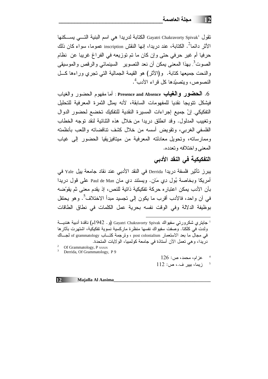تقول المعرافية التسمى بسكنها Gayatri Chakravorty Spivak<sup>1</sup> الكتابة للمع البنية التسمى بسكنها الأثر دائما<sup>2</sup>. الكتابة، عند دريدا، إنها النقش inscription عموما، سواء كان ذلك حرفيا أم غير حرفي حتى وإن كان ما تم توزيعه في الفراغ غريبا عن نظام الصوت<sup>3</sup>. بهذا المعنى يمكن أن نعد التصوير السينمائي والرقص والموسيقى والنحت جميعها كتابة. و(الأثر) هو القيمة الجمالية التي تجرى وراءها كلَّ النصوص، وبتصبّدها كل قر اء الأدب<sup>4</sup>.

6. ا**لحضور والغياب Pr**esence and Absence : أما مفهوم الحضور والغياب فيشكل نتويجا نقديا للمفهومات السابقة، لأنه يمثل الثمر ة المعر فية للتحليل التفكيكي. إنّ جميع إجراءات المسيرة النقدية للتفكيك تخضع لحضور الدوال وتغييب المدلول. وقد انطلق دريدا من خلال هذه الثنائية لنقد توجه الخطاب الفلسفي الغربي، ونقويض أسسه من خلال كشف نتاقضاته واللعب بأنظمته وممارساته، وتحويل معادلته المعرفية من ميتافيزيقيا الحضور إلى غياب المعنى و اختلافه و تعدده.

# التفكيكية في النقد الأدبي

ببرز تأثير فلسفة دريدا Derrida في النقد الأدبي عند نقاد جامعة بيل Yale في أمريكا وبخاصة بُول دِي مَانٍ. ويستند دي مان Paul de Man على قول دريدا بأن الأدب يمكن اعتبار ، حركة تفكيكية ذاتية للنص، إذ يقدم معنى ثم يقوِّضه في أن واحد، فالأدب أقرب ما يكون إلى تجسيد مبدأ الاختلاف<sup>?</sup>. وهو يحتفل بوظيفة الدلالة وفي الوقت نفسه بحرية عمل الكلمات في نطاق الطاقات

ا جاينزي شكرورتي سفيواك Gayatri Chakravorty Spivak (و. 1942م) ناقدة أدبية هنديـــة ولدت في كلكتا. وصفت سفيواك نفسها منظرة ماركسية نسوية تفكيكية، اشتهرت بآثار ها في مجال ما بعد الاستعمار post colonialism ، ونرجمة كتــاب of grammatology لجــاك دريدًا، وهي تعمل الأن أستاذة في جامعة كولمبيا، الولايات المتحدة.

<sup>2</sup> Of Grammatology, P xxxIx

<sup>3</sup> Derrida, Of Grammatology, P 9

 $126:$ عز ام، محمد، ص

زيما، بيير ف.، ص: 112

 $12$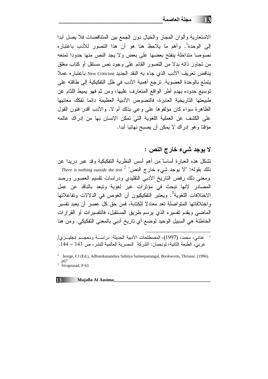الاستعارية وألوان المجاز والخيال دون الجمع بين المتناقضات فلا يصل أبدا إلى الوحدة<sup>1</sup>. وأهم ما يلاحظ هنا هو أن هذا التصور للأدب باعتباره نصوصا متداخلة ينفتح بعضها على بعض ولا يجد النص منها حدودا تمنعه من نجاوز ذاته بدلا من النصور القائم على وجود نص مستقل أو كتاب مغلق يناقض تعريف الأدب الذي جاء به النقد الجديد New Criticism باعتبار ه عملا يتمتع بالوحدة العضوية. ترجع أهمية الأدب في ظل التفكيكية إلى طاقته على نوسيع حدوده بهدم أطر الواقع المتعارف عليها، ومن ثم فهو يميط اللثام عن طبيعتها التاريخية العابرة، فالنصوص الأدبية العظيمة دائما نفكك معانيها الظاهرة سواء كان مؤلفوها على وعي بذلك أم لا. والأدب أقدر فنون القول على الكشف عن العملية اللغوية التي تمكن الإنسان بها من إدراك عالمه مؤقتا و هو إدراك لا يمكن أن يصبح نهائيا أبدا.

لا يوجد شيء خارج النص :

تشكل هذه العبارة أساسا من أهم أسس النظرية التفكيكية وقد عبر دريدا عن There is nothing outside the text  $^2$  "ألا يوجد شيء خارج النص ومعنى ذلك رفض الناريخ الأدبي النقليدي ودراسات نقسيم العصور ورصد المصادر لأنها تبحث في مؤثرات غير لغوية وتبعد بالناقد عن عمل الاختلافات اللغوية<sup>3</sup>. ويعتبر التفكيكيون أن الغوص في الدلالات وتفاعلاتها واختلافاتها المتواصلة تعد معادلا للكتابة، فمن حق كل عصر أن يعيد تفسير الماضي ويقدم تفسيره الذي يرسم طريق المستقبل، فالتفسيرات أو القرارات الخاطئة هي السبيل الوحيد لوضع أي تاريخ أدبي بالمعنى التفكيكي. ومن هنا

<sup>&</sup>lt;sup>2</sup> Jeorge, CJ (Ed.), Adhunikanandara Sahitya Sameepanangal, Bookworm, Thrissur, (1996), p67  $3 \text{ Sivanasad}$ , P 63



عناني، محمد، (1997)، المصطلحات الأدبية الحديثة: دراسـة ومعجــم إنجليــزي/ عربي، الطبعة الثانية، لونجمان: الشركة المصرية العالمية للنشر ، ص 143 – 144.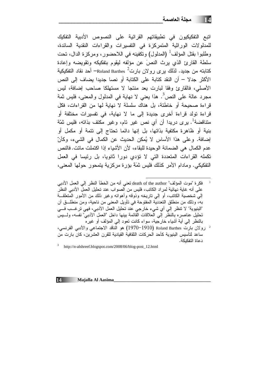اتبع التفكيكيون في تطبيقاتهم القرائية على النصوص الأدبية التفكيك للمدلولات الوراثية المتمركزة فى التفسيرات والقراءات النقدية السائدة، وطلبوا بقتل المؤلف<sup>1</sup> (المدلول) وتكفينه في اللاحضور ، ومركزة الدال، تحت سلطة القارئ الذي يرث النصَ عن مؤلفه ليقوم بتفكيكه وتقويضه وإعادة كتابته من جديد. لذلك يرى رولان بارت<sup>2</sup> Roland Barthes— أحد نقاد التفكيكية الأكثر جدلا – أن النقد كتابة على الكتابة أو نصا جديدا يضاف إلى النص الأصلي، فالقارئ وفقا لبارت بعد منتجا لا مستهلكا صاحب إضافة، لبس مجرد عالمٌ على النص<sup>3</sup>. هذا يعني لا نهاية في المدلول والمعنى، فليس ثمة قراءة صحيحة أو خاطئة، بل هناك سلسلة لا نهاية لها من القراءات، فكل قراءة تولد قراءة أخرى جديدة إلى ما لا نهاية، في تفسيرات مختلفة أو متناقضة<sup>1</sup>. يرى دريدا أن أى نص غير نام، وغير مكتف بذاته، فليس ثمّة بنية أو ظاهرة مكتفية بذاتها، بل إنها دائما تحتاج إلى تتمة أو مكمل أو إضافة. وعلى هذا الأساس لا يُمكن الحديث عن الكمال في الشيء، وكأنّ عدم الكمال هي الضمانة الوحيدة للبقاء، لأن الأشياء إذا اكتملت ماتت. فالنص تكمله القراءات المتعددة التي لا تؤدي دورا ثانويا، بل رئيسا في العمل التفكيكي. ومادام الأمر كذلك فليس ثمَة بؤر ة مركزية بتمحور حولها المعنى،

- فكرة "موت المؤلف" death of the author تعني أنه من الخطأ النظر إلى العمل الأدبي على أنه غاية نهائية لمراد الكاتب، فليس من الصواب عند تحليل العمل الأدبي النظر إلى شخصية الكاتب، أو إلى ناريخه وذوقه وأهوائه وغير ذلك من الأمور المتعلقـــة به، وذلك من منطلق النعددية المفتوحة في نأويل المعنى من ناحية، ومن منطلـــق أن "البنيوية" لا نتظر إلى أي شيء خارجي عند تحليل العمل الأدبي، فهي ترغــب فـــي تحليل عناصره بالنظر إلى العلاقات القائمة بينها داخل "العمل الأدبي" نفسه، ولـــيس بالنظر إلى أية أشياء خارجية، سواء كانت نعود إلى المؤلف أو غيره
- رولان بارت Roland Barthes (1970–1970) هو الناقد الاجتماعي والأدبي الفرنسي، ساعد لتأسيس البنيوية كأحد الحركات الثقافية القيادية للقرن العشرين، كان بارت من دعاة التفكيكة.

 $3$  http://n-alshreef.blogspot.com/2008/06/blog-post\_12.html

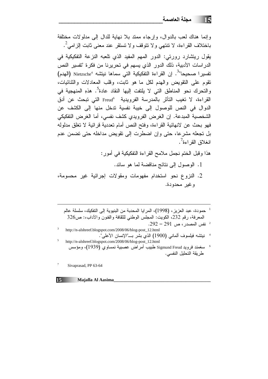و إنما هناك لعب بالدو ال، و إر جاء ممتد بلا نهاية للدال إلى مدلو لات مختلفة باختلاف القراءة، لا تنتهي ولا نتوقف ولا تستقر عند معنى ثابت إلزامي<sup>2</sup>. يقول ريتشارد رورتي: الدور المهم المفيد الذي نلعبه النزعة التفكيكية في الدراسات الأدبية، ذلك الدور الذي يسهم في تحريرنا من فكرة "تفسير النص تفسير ا صحيحا"<sup>3</sup>. إن القراءة التفكيكية التي سماها نيتشه "Nietzsche (الهدم) نقوم على النقويض والهدم لكل ما هو ثابت، وقلب المعادلات والثنائيات، و النحر ك نحو المناطق التي لا بِلتفت إليها النقاد عادة<sup>5</sup>. هذهِ المنهجية في القراءة، لا تغيب التأثر بالمدرسة الفرويدية Freud<sup>6</sup> التي تبحث عن أدق الدوال في النص للوصول إلى خيبة نفسية ندخل منها إلى الكشف عن الشخصية المبدعة. إن الغرض الفرويدي كشف نفسي، أما الغرض التفكيكي فهو بحث عن لانهائية القراءة، وفتح النص أمام تعددية قرائية لا تغلق مدلوله بل تجعله مشرعا، حتى وإن اضطرت إلى نقويض مداخله حتى تضمن عدم انغلاق القر اءة<sup>7</sup>.

هذا وقبل الختم نجمل ملامح القراءة التفكيكية في أمور:

- 1. الوصول إلى نتائج مناقضة لما هو سائد.
- 2. النزوع نحو استخدام مفهومات ومقولات إجرائية غير محسومة، و غير محدودة.
	- <sup>1</sup> حمودة، عبد العزيز، (1998)، المرايا المحدبة من البنيوية إلى التفكيك، سلسلة عالم المعرفة، رقم 232، الكويت: المجلس الوطني للثقافة والفنون والأداب،: ص326  $292 - 291$  نفس المصدر ، ص 291 – 292. http://n-alshreef.blogspot.com/2008/06/blog-post\_12.html
- http://n-alshreef.blogspot.com/2008/06/blog-post\_12.html
- 6 سغمند فرويد Sigmund Freud طبيب أمراض عصبية نمساوي (1939)، ومؤسس طريقة التحليل النفسي.

 $\boldsymbol{7}$ Sivaprasad, PP 63-64

 $15$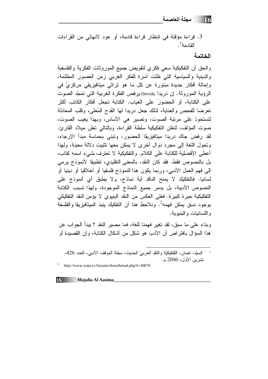3. قراءة مؤقتة في انتظار قراءة قادمة، أو عود لانهائي من القراءات القادمة <sup>1</sup>.

## الخاتمة

والحق أن التفكيكية سعي فكري لتقويض جميع الموروثات الفكرية والفلسفية والدينية والسياسية التبي ظلت أسرة للفكر الغربي زمن العصور المظلمة، وإحالة أفكار جديدة مبتورة عن كل ما هو تراثى ميتافيزيقى مركزيّ في الرؤية الموروثة. إن دريدا Derrida برفض الفكرة الغربية التي تمجّد الصوتَ على الكتابة، أو الحضور على الغياب. الكتابة تجعل أفكار الكاتب أكثر تعرضا للفحص والعناية، لذلك جعل دريدا لها القدح المُعلى، وقلب المعادلة لتستحوذ على مرتبة الصوت، وتصير هي الأساس، وبهذا يغيب الصوت، صوت المؤلف، لتعلن التفكيكية سلطة القراءة، وبالتالي تعلن ميلاد القارئ. لقد رفضَ جاك دريدا ميتافيزيقا الحضور، ونبنى بحماسة مبدأ الإرجاء، وتحول اللغة إلى مجرد دوال أخرى لا يمكن معها تثبيت دلالة معينة، ولهذا أعطى الأفضلية للكتابة على الكلام. والتفكيكية لا تعترف بشيء اسمه كِتاب، بل بالنصوص فقط. فقد كان النقد، بالمعنى التقليدي، تطبيقا لأنموذج يرمي إلى فهم العمل الأدبي، وربما يكون هذا النموذج فلسفيا أو أخلاقيا أو دينيا أو لسانيا. فالتفكيك لا يمنح الناقد أية نماذج، ولا يطبق أي أنموذج على النصوص الأدبية، بل يدمر جميع النماذج الموجودة، ولهذا تسبب الكتابة التفكيكية حيرة كبيرة. فعلى العكس من النقد البنيوي لا يؤمن النقد التفكيكي بوجود نسق بمكن فهمه<sup>2</sup>. ونلاحظ هنا أن التفكيك بنبذ المبتافيزيقا والفلسفة و اللسانيات و البنيوية.

وبناء على ما سبق، لقد تغير فهمنا للغة، فما مصير النقد ؟ يبدأ الجواب عن هذا السؤال بافتر اض أن الأدب هو شكل من أشكال الكتابة، وإن القصيدة أو

السبِّد، غسان، النَّفكيكيَّة والنَّقد العربيّ الحديث، مجلة الموقف الأدبي، العدد 426، تشرين الأول، 2006 م.

<sup>&</sup>lt;sup>2</sup> http://www.wata.cc/forums/showthread.php?t=49076

<sup>16</sup> Majalla Al Aasima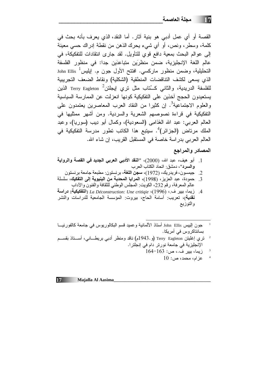القصبة أو أي عمل أدبي هو بنية آثار . أما النقد، الذي يعرف بأنه بحث في كلمة، وسطر، ونص، أو أي شيء يحرك الذهن من نقطة إدراك حسى معينة إلى عوالم البحث بمعية دافع قوى للتأويل. لقد جارى انتقادات للتفكيكة، في عالم اللغة الإنجليزية، ضمن منظرَين متباعدَين جدا: في منظور الفلسفة John Ellis  $^1$ التحليلية، وضمن منظور ماركسي. افتتح الأول جون م. إيليس الذي يسعى لكشف التناقضات المنطقية (الشكلية) ونقاط الضعف التجريبية للفلسفة الدريدية، والثاني كــُتاب مثل نرى إيجلتن<sup>2 -</sup> Terry Eagleton الذين يستعيدون الحجج آخذين على التفكيكية كونها انعزلت عن الممار سة السياسية والعلوم الاجتماعية<sup>3</sup>. إن كثيرًا من النقاد العرب المعاصرين يعتمدون على التفكيكية في قراءة نصوصهم الشعرية والسردية. ومن أشهر ممثليها في العالم العربي: عبد الله الغَذامِي (السعودية)، وكمال أبو دِيب (سوريا)، وعبد الملك مرناض (الجزائر)<sup>4</sup>. سيتبع هذا الكانب نطور مدرسة التفكيكية في العالم العربي بدر اسة خاصة في المستقبل القريب، إن شاء الله.

# المصادر والمراجع

- والسرد"، دمشق: اتحاد الكتاب العرب
- 2. جيمسون، فريدريك، (1972)، **سجن اللغة**، برنستون: مطبعة جامعة برنستون
- 3. حمودة، عبد العزيز ، (1998)، المرايا المحدبة من البنيوية إلى التفكيك، سلسلة عالم المعرفة، رقم 232، الكويت: المجلس الوطني للثقافة والفنون والأداب
- زيما، بيير ف.، La Déconstruction: Une critiqie ،(1996) (ا**لتفكيكية: در**ا**سة**  $\cdot$ .4 **نقدية**)، تعريب: أسامة الحاج، بيروت: المؤسسة الجامعية للدراسات والنشر والتوزيع

- نري إغليتن Terry Eagleton (و 1943م) ناقد ومنظر أدبي بريطـــانـي، أســـناذ بقســـم  $\overline{\phantom{a}}$ الإنجليزية في جامعة نورتر دام في إنجلترا.
	- زيما، بيير ف.، ص: 163–164
		- $10:$ عزام، محمد، ص

 $\overline{\mathbf{3}}$ 

جون البيس John Ellis أستاذ الألمانية وعميد قسم البكالوريوس في جامعة كالفورنيـــا بسانتاكروس في أمريكا.